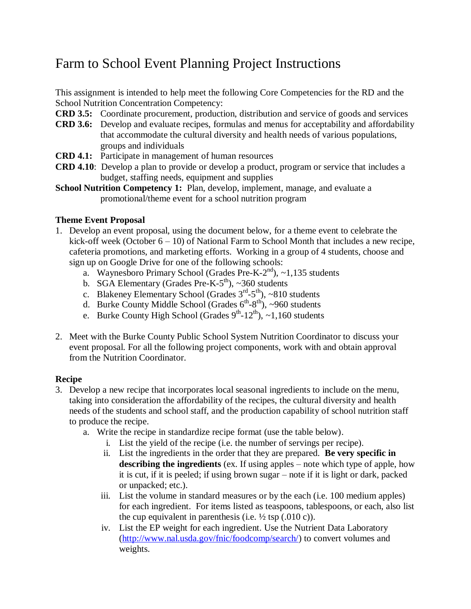## Farm to School Event Planning Project Instructions

This assignment is intended to help meet the following Core Competencies for the RD and the School Nutrition Concentration Competency:

- **CRD 3.5:** Coordinate procurement, production, distribution and service of goods and services
- **CRD 3.6:** Develop and evaluate recipes, formulas and menus for acceptability and affordability that accommodate the cultural diversity and health needs of various populations, groups and individuals
- **CRD 4.1:** Participate in management of human resources
- **CRD 4.10**: Develop a plan to provide or develop a product, program or service that includes a budget, staffing needs, equipment and supplies
- **School Nutrition Competency 1:** Plan, develop, implement, manage, and evaluate a promotional/theme event for a school nutrition program

#### **Theme Event Proposal**

- 1. Develop an event proposal, using the document below, for a theme event to celebrate the kick-off week (October  $6 - 10$ ) of National Farm to School Month that includes a new recipe, cafeteria promotions, and marketing efforts. Working in a group of 4 students, choose and sign up on Google Drive for one of the following schools:
	- a. Waynesboro Primary School (Grades Pre-K-2<sup>nd</sup>), ~1,135 students
	- b. SGA Elementary (Grades Pre-K- $5<sup>th</sup>$ ), ~360 students
	- c. Blakeney Elementary School (Grades  $3<sup>rd</sup> 5<sup>th</sup>$ ), ~810 students
	- d. Burke County Middle School (Grades  $6^{th} 8^{th}$ ), ~960 students
	- e. Burke County High School (Grades  $9^{th}$ -12<sup>th</sup>), ~1,160 students
- 2. Meet with the Burke County Public School System Nutrition Coordinator to discuss your event proposal. For all the following project components, work with and obtain approval from the Nutrition Coordinator.

#### **Recipe**

- 3. Develop a new recipe that incorporates local seasonal ingredients to include on the menu, taking into consideration the affordability of the recipes, the cultural diversity and health needs of the students and school staff, and the production capability of school nutrition staff to produce the recipe.
	- a. Write the recipe in standardize recipe format (use the table below).
		- i. List the yield of the recipe (i.e. the number of servings per recipe).
		- ii. List the ingredients in the order that they are prepared. **Be very specific in describing the ingredients** (ex. If using apples – note which type of apple, how it is cut, if it is peeled; if using brown sugar – note if it is light or dark, packed or unpacked; etc.).
		- iii. List the volume in standard measures or by the each (i.e. 100 medium apples) for each ingredient. For items listed as teaspoons, tablespoons, or each, also list the cup equivalent in parenthesis (i.e.  $\frac{1}{2}$  tsp (.010 c)).
		- iv. List the EP weight for each ingredient. Use the Nutrient Data Laboratory [\(http://www.nal.usda.gov/fnic/foodcomp/search/\)](http://www.nal.usda.gov/fnic/foodcomp/search/) to convert volumes and weights.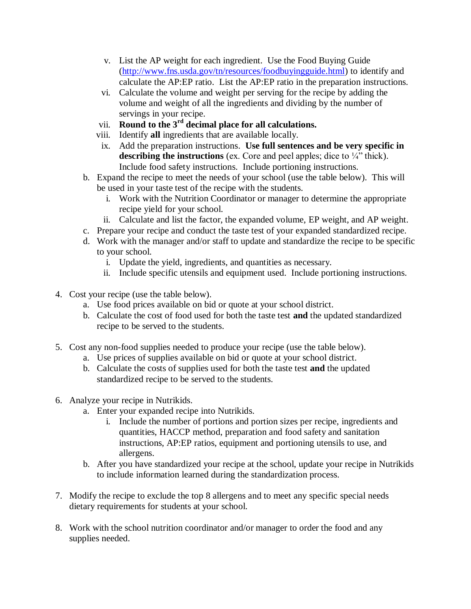- v. List the AP weight for each ingredient. Use the Food Buying Guide [\(http://www.fns.usda.gov/tn/resources/foodbuyingguide.html\)](http://www.fns.usda.gov/tn/resources/foodbuyingguide.html) to identify and calculate the AP:EP ratio. List the AP:EP ratio in the preparation instructions.
- vi. Calculate the volume and weight per serving for the recipe by adding the volume and weight of all the ingredients and dividing by the number of servings in your recipe.
- vii. **Round to the 3rd decimal place for all calculations.**
- viii. Identify **all** ingredients that are available locally.
- ix. Add the preparation instructions. **Use full sentences and be very specific in describing the instructions** (ex. Core and peel apples; dice to ¼" thick). Include food safety instructions. Include portioning instructions.
- b. Expand the recipe to meet the needs of your school (use the table below). This will be used in your taste test of the recipe with the students.
	- i. Work with the Nutrition Coordinator or manager to determine the appropriate recipe yield for your school.
	- ii. Calculate and list the factor, the expanded volume, EP weight, and AP weight.
- c. Prepare your recipe and conduct the taste test of your expanded standardized recipe.
- d. Work with the manager and/or staff to update and standardize the recipe to be specific to your school.
	- i. Update the yield, ingredients, and quantities as necessary.
	- ii. Include specific utensils and equipment used. Include portioning instructions.
- 4. Cost your recipe (use the table below).
	- a. Use food prices available on bid or quote at your school district.
	- b. Calculate the cost of food used for both the taste test **and** the updated standardized recipe to be served to the students.
- 5. Cost any non-food supplies needed to produce your recipe (use the table below).
	- a. Use prices of supplies available on bid or quote at your school district.
	- b. Calculate the costs of supplies used for both the taste test **and** the updated standardized recipe to be served to the students.
- 6. Analyze your recipe in Nutrikids.
	- a. Enter your expanded recipe into Nutrikids.
		- i. Include the number of portions and portion sizes per recipe, ingredients and quantities, HACCP method, preparation and food safety and sanitation instructions, AP:EP ratios, equipment and portioning utensils to use, and allergens.
	- b. After you have standardized your recipe at the school, update your recipe in Nutrikids to include information learned during the standardization process.
- 7. Modify the recipe to exclude the top 8 allergens and to meet any specific special needs dietary requirements for students at your school.
- 8. Work with the school nutrition coordinator and/or manager to order the food and any supplies needed.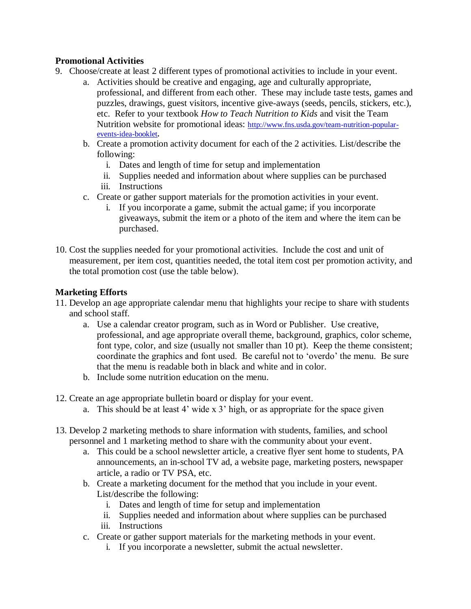#### **Promotional Activities**

- 9. Choose/create at least 2 different types of promotional activities to include in your event.
	- a. Activities should be creative and engaging, age and culturally appropriate, professional, and different from each other. These may include taste tests, games and puzzles, drawings, guest visitors, incentive give-aways (seeds, pencils, stickers, etc.), etc. Refer to your textbook *How to Teach Nutrition to Kids* and visit the Team Nutrition website for promotional ideas: [http://www.fns.usda.gov/team-nutrition-popular](http://www.fns.usda.gov/team-nutrition-popular-events-idea-booklet)[events-idea-booklet](http://www.fns.usda.gov/team-nutrition-popular-events-idea-booklet)**.**
	- b. Create a promotion activity document for each of the 2 activities. List/describe the following:
		- i. Dates and length of time for setup and implementation
		- ii. Supplies needed and information about where supplies can be purchased
		- iii. Instructions
	- c. Create or gather support materials for the promotion activities in your event.
		- i. If you incorporate a game, submit the actual game; if you incorporate giveaways, submit the item or a photo of the item and where the item can be purchased.
- 10. Cost the supplies needed for your promotional activities. Include the cost and unit of measurement, per item cost, quantities needed, the total item cost per promotion activity, and the total promotion cost (use the table below).

#### **Marketing Efforts**

- 11. Develop an age appropriate calendar menu that highlights your recipe to share with students and school staff.
	- a. Use a calendar creator program, such as in Word or Publisher. Use creative, professional, and age appropriate overall theme, background, graphics, color scheme, font type, color, and size (usually not smaller than 10 pt). Keep the theme consistent; coordinate the graphics and font used. Be careful not to 'overdo' the menu. Be sure that the menu is readable both in black and white and in color.
	- b. Include some nutrition education on the menu.
- 12. Create an age appropriate bulletin board or display for your event.
	- a. This should be at least 4' wide x 3' high, or as appropriate for the space given
- 13. Develop 2 marketing methods to share information with students, families, and school personnel and 1 marketing method to share with the community about your event.
	- a. This could be a school newsletter article, a creative flyer sent home to students, PA announcements, an in-school TV ad, a website page, marketing posters, newspaper article, a radio or TV PSA, etc.
	- b. Create a marketing document for the method that you include in your event. List/describe the following:
		- i. Dates and length of time for setup and implementation
		- ii. Supplies needed and information about where supplies can be purchased
		- iii. Instructions
	- c. Create or gather support materials for the marketing methods in your event.
		- i. If you incorporate a newsletter, submit the actual newsletter.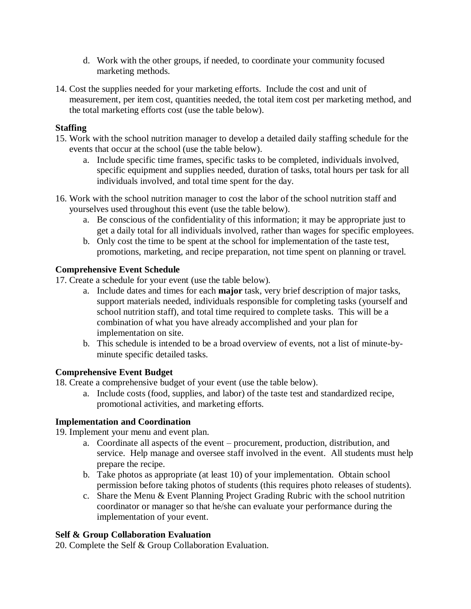- d. Work with the other groups, if needed, to coordinate your community focused marketing methods.
- 14. Cost the supplies needed for your marketing efforts. Include the cost and unit of measurement, per item cost, quantities needed, the total item cost per marketing method, and the total marketing efforts cost (use the table below).

#### **Staffing**

- 15. Work with the school nutrition manager to develop a detailed daily staffing schedule for the events that occur at the school (use the table below).
	- a. Include specific time frames, specific tasks to be completed, individuals involved, specific equipment and supplies needed, duration of tasks, total hours per task for all individuals involved, and total time spent for the day.
- 16. Work with the school nutrition manager to cost the labor of the school nutrition staff and yourselves used throughout this event (use the table below).
	- a. Be conscious of the confidentiality of this information; it may be appropriate just to get a daily total for all individuals involved, rather than wages for specific employees.
	- b. Only cost the time to be spent at the school for implementation of the taste test, promotions, marketing, and recipe preparation, not time spent on planning or travel.

#### **Comprehensive Event Schedule**

17. Create a schedule for your event (use the table below).

- a. Include dates and times for each **major** task, very brief description of major tasks, support materials needed, individuals responsible for completing tasks (yourself and school nutrition staff), and total time required to complete tasks. This will be a combination of what you have already accomplished and your plan for implementation on site.
- b. This schedule is intended to be a broad overview of events, not a list of minute-byminute specific detailed tasks.

#### **Comprehensive Event Budget**

18. Create a comprehensive budget of your event (use the table below).

a. Include costs (food, supplies, and labor) of the taste test and standardized recipe, promotional activities, and marketing efforts.

#### **Implementation and Coordination**

19. Implement your menu and event plan.

- a. Coordinate all aspects of the event procurement, production, distribution, and service. Help manage and oversee staff involved in the event. All students must help prepare the recipe.
- b. Take photos as appropriate (at least 10) of your implementation. Obtain school permission before taking photos of students (this requires photo releases of students).
- c. Share the Menu & Event Planning Project Grading Rubric with the school nutrition coordinator or manager so that he/she can evaluate your performance during the implementation of your event.

#### **Self & Group Collaboration Evaluation**

20. Complete the Self & Group Collaboration Evaluation.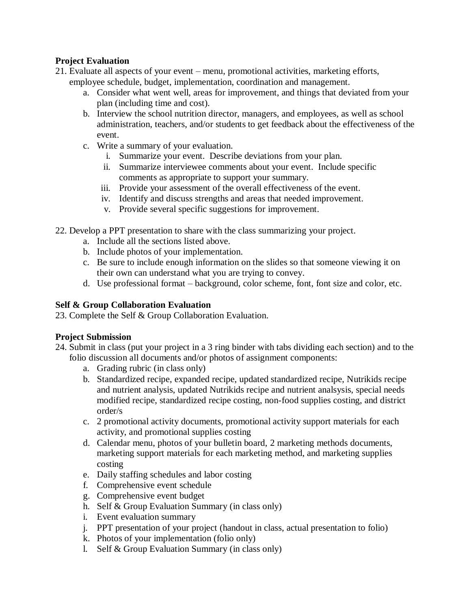#### **Project Evaluation**

- 21. Evaluate all aspects of your event menu, promotional activities, marketing efforts, employee schedule, budget, implementation, coordination and management.
	- a. Consider what went well, areas for improvement, and things that deviated from your plan (including time and cost).
	- b. Interview the school nutrition director, managers, and employees, as well as school administration, teachers, and/or students to get feedback about the effectiveness of the event.
	- c. Write a summary of your evaluation.
		- i. Summarize your event. Describe deviations from your plan.
		- ii. Summarize interviewee comments about your event. Include specific comments as appropriate to support your summary.
		- iii. Provide your assessment of the overall effectiveness of the event.
		- iv. Identify and discuss strengths and areas that needed improvement.
		- v. Provide several specific suggestions for improvement.
- 22. Develop a PPT presentation to share with the class summarizing your project.
	- a. Include all the sections listed above.
	- b. Include photos of your implementation.
	- c. Be sure to include enough information on the slides so that someone viewing it on their own can understand what you are trying to convey.
	- d. Use professional format background, color scheme, font, font size and color, etc.

#### **Self & Group Collaboration Evaluation**

23. Complete the Self & Group Collaboration Evaluation.

#### **Project Submission**

- 24. Submit in class (put your project in a 3 ring binder with tabs dividing each section) and to the folio discussion all documents and/or photos of assignment components:
	- a. Grading rubric (in class only)
	- b. Standardized recipe, expanded recipe, updated standardized recipe, Nutrikids recipe and nutrient analysis, updated Nutrikids recipe and nutrient analsysis, special needs modified recipe, standardized recipe costing, non-food supplies costing, and district order/s
	- c. 2 promotional activity documents, promotional activity support materials for each activity, and promotional supplies costing
	- d. Calendar menu, photos of your bulletin board, 2 marketing methods documents, marketing support materials for each marketing method, and marketing supplies costing
	- e. Daily staffing schedules and labor costing
	- f. Comprehensive event schedule
	- g. Comprehensive event budget
	- h. Self & Group Evaluation Summary (in class only)
	- i. Event evaluation summary
	- j. PPT presentation of your project (handout in class, actual presentation to folio)
	- k. Photos of your implementation (folio only)
	- l. Self & Group Evaluation Summary (in class only)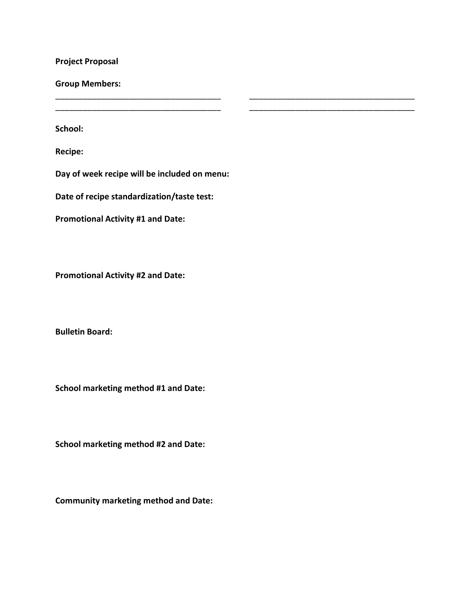**Project Proposal**

**Group Members:**

**School:** 

**Recipe:**

**Day of week recipe will be included on menu:** 

\_\_\_\_\_\_\_\_\_\_\_\_\_\_\_\_\_\_\_\_\_\_\_\_\_\_\_\_\_\_\_\_\_\_\_\_ \_\_\_\_\_\_\_\_\_\_\_\_\_\_\_\_\_\_\_\_\_\_\_\_\_\_\_\_\_\_\_\_\_\_\_\_ \_\_\_\_\_\_\_\_\_\_\_\_\_\_\_\_\_\_\_\_\_\_\_\_\_\_\_\_\_\_\_\_\_\_\_\_ \_\_\_\_\_\_\_\_\_\_\_\_\_\_\_\_\_\_\_\_\_\_\_\_\_\_\_\_\_\_\_\_\_\_\_\_

**Date of recipe standardization/taste test:** 

**Promotional Activity #1 and Date:**

**Promotional Activity #2 and Date:**

**Bulletin Board:**

**School marketing method #1 and Date:**

**School marketing method #2 and Date:**

**Community marketing method and Date:**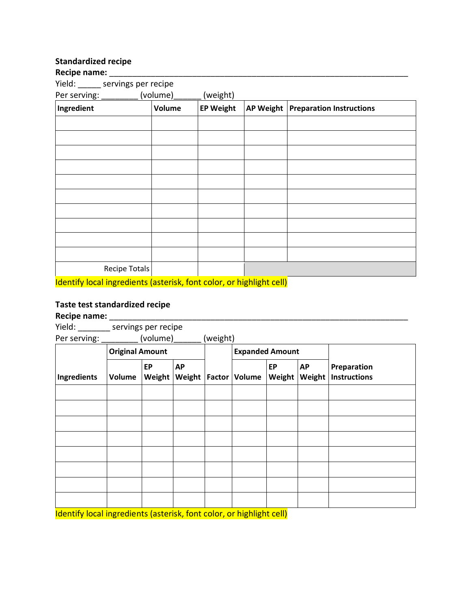### **Standardized recipe**

| Recipe name: |
|--------------|
|--------------|

| Recipe name: _________                                                                                                                                                                                                            |               |                  |                  |                                 |
|-----------------------------------------------------------------------------------------------------------------------------------------------------------------------------------------------------------------------------------|---------------|------------------|------------------|---------------------------------|
| Yield: ______ servings per recipe                                                                                                                                                                                                 |               |                  |                  |                                 |
| Per serving: _________ (volume)______                                                                                                                                                                                             |               | (weight)         |                  |                                 |
| Ingredient                                                                                                                                                                                                                        | <b>Volume</b> | <b>EP Weight</b> | <b>AP Weight</b> | <b>Preparation Instructions</b> |
|                                                                                                                                                                                                                                   |               |                  |                  |                                 |
|                                                                                                                                                                                                                                   |               |                  |                  |                                 |
|                                                                                                                                                                                                                                   |               |                  |                  |                                 |
|                                                                                                                                                                                                                                   |               |                  |                  |                                 |
|                                                                                                                                                                                                                                   |               |                  |                  |                                 |
|                                                                                                                                                                                                                                   |               |                  |                  |                                 |
|                                                                                                                                                                                                                                   |               |                  |                  |                                 |
|                                                                                                                                                                                                                                   |               |                  |                  |                                 |
|                                                                                                                                                                                                                                   |               |                  |                  |                                 |
|                                                                                                                                                                                                                                   |               |                  |                  |                                 |
| Recipe Totals                                                                                                                                                                                                                     |               |                  |                  |                                 |
| $\mathbf{r}$ , the set of the set of the set of the set of the set of the set of the set of the set of the set of the set of the set of the set of the set of the set of the set of the set of the set of the set of the set of t |               |                  |                  |                                 |

Identify local ingredients (asterisk, font color, or highlight cell)

#### **Taste test standardized recipe**

| Recipe name:                                                        |                        |              |                     |          |                        |              |                     |                                    |
|---------------------------------------------------------------------|------------------------|--------------|---------------------|----------|------------------------|--------------|---------------------|------------------------------------|
| Yield: servings per recipe                                          |                        |              |                     |          |                        |              |                     |                                    |
| Per serving: ______                                                 |                        | (volume)     |                     | (weight) |                        |              |                     |                                    |
|                                                                     | <b>Original Amount</b> |              |                     |          | <b>Expanded Amount</b> |              |                     |                                    |
| Ingredients                                                         | Volume                 | EP<br>Weight | <b>AP</b><br>Weight |          | Factor Volume          | EP<br>Weight | <b>AP</b><br>Weight | Preparation<br><b>Instructions</b> |
|                                                                     |                        |              |                     |          |                        |              |                     |                                    |
|                                                                     |                        |              |                     |          |                        |              |                     |                                    |
|                                                                     |                        |              |                     |          |                        |              |                     |                                    |
|                                                                     |                        |              |                     |          |                        |              |                     |                                    |
|                                                                     |                        |              |                     |          |                        |              |                     |                                    |
|                                                                     |                        |              |                     |          |                        |              |                     |                                    |
|                                                                     |                        |              |                     |          |                        |              |                     |                                    |
|                                                                     |                        |              |                     |          |                        |              |                     |                                    |
| Identify Logal incredictor (octorials font color or highlight coll) |                        |              |                     |          |                        |              |                     |                                    |

Identify local ingredients (asterisk, font color, or highlight cell)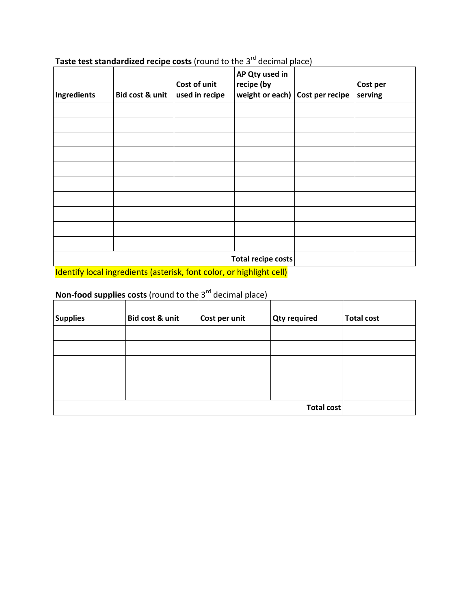| Ingredients | Bid cost & unit    | Cost of unit<br>used in recipe | AP Qty used in<br>recipe (by<br>weight or each) Cost per recipe |  | Cost per<br>serving |  |  |  |
|-------------|--------------------|--------------------------------|-----------------------------------------------------------------|--|---------------------|--|--|--|
|             |                    |                                |                                                                 |  |                     |  |  |  |
|             |                    |                                |                                                                 |  |                     |  |  |  |
|             |                    |                                |                                                                 |  |                     |  |  |  |
|             |                    |                                |                                                                 |  |                     |  |  |  |
|             |                    |                                |                                                                 |  |                     |  |  |  |
|             |                    |                                |                                                                 |  |                     |  |  |  |
|             |                    |                                |                                                                 |  |                     |  |  |  |
|             |                    |                                |                                                                 |  |                     |  |  |  |
|             |                    |                                |                                                                 |  |                     |  |  |  |
|             |                    |                                |                                                                 |  |                     |  |  |  |
|             | Total recipe costs |                                |                                                                 |  |                     |  |  |  |

## **Taste test standardized recipe costs** (round to the 3<sup>rd</sup> decimal place)

Identify local ingredients (asterisk, font color, or highlight cell)

## Non-food supplies costs (round to the 3<sup>rd</sup> decimal place)

| <b>Supplies</b> | Bid cost & unit   | Cost per unit | <b>Qty required</b> | <b>Total cost</b> |
|-----------------|-------------------|---------------|---------------------|-------------------|
|                 |                   |               |                     |                   |
|                 |                   |               |                     |                   |
|                 |                   |               |                     |                   |
|                 |                   |               |                     |                   |
|                 |                   |               |                     |                   |
|                 | <b>Total cost</b> |               |                     |                   |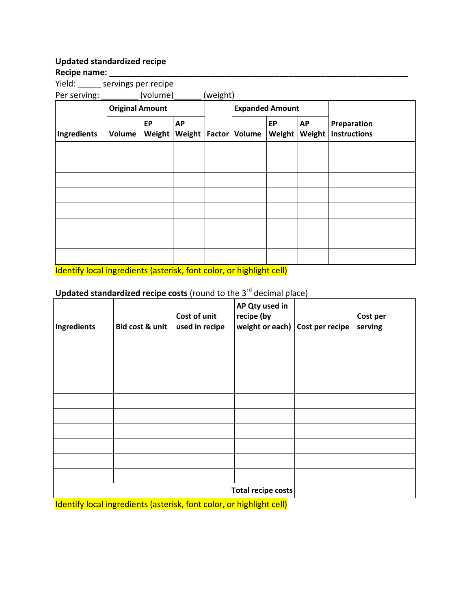#### **Updated standardized recipe**

#### Recipe name:

Yield: \_\_\_\_\_ servings per recipe

| Per serving: |                        | (volume)     |                              | (weight) |                        |              |                     |                                    |
|--------------|------------------------|--------------|------------------------------|----------|------------------------|--------------|---------------------|------------------------------------|
|              | <b>Original Amount</b> |              |                              |          | <b>Expanded Amount</b> |              |                     |                                    |
| Ingredients  | Volume                 | EP<br>Weight | <b>AP</b><br>Weight   Factor |          | Volume                 | EP<br>Weight | <b>AP</b><br>Weight | Preparation<br><b>Instructions</b> |
|              |                        |              |                              |          |                        |              |                     |                                    |
|              |                        |              |                              |          |                        |              |                     |                                    |
|              |                        |              |                              |          |                        |              |                     |                                    |
|              |                        |              |                              |          |                        |              |                     |                                    |
|              |                        |              |                              |          |                        |              |                     |                                    |
|              |                        |              |                              |          |                        |              |                     |                                    |
|              |                        |              |                              |          |                        |              |                     |                                    |
|              |                        |              |                              |          |                        |              |                     |                                    |

Identify local ingredients (asterisk, font color, or highlight cell)

### **Updated standardized recipe costs** (round to the 3<sup>rd</sup> decimal place)

| Ingredients | Bid cost & unit | Cost of unit<br>used in recipe | AP Qty used in<br>recipe (by<br>weight or each) | Cost per recipe | Cost per<br>serving |
|-------------|-----------------|--------------------------------|-------------------------------------------------|-----------------|---------------------|
|             |                 |                                |                                                 |                 |                     |
|             |                 |                                |                                                 |                 |                     |
|             |                 |                                |                                                 |                 |                     |
|             |                 |                                |                                                 |                 |                     |
|             |                 |                                |                                                 |                 |                     |
|             |                 |                                |                                                 |                 |                     |
|             |                 |                                |                                                 |                 |                     |
|             |                 |                                |                                                 |                 |                     |
|             |                 |                                |                                                 |                 |                     |
|             |                 |                                |                                                 |                 |                     |
|             |                 |                                | Total recipe costs                              |                 |                     |

Identify local ingredients (asterisk, font color, or highlight cell)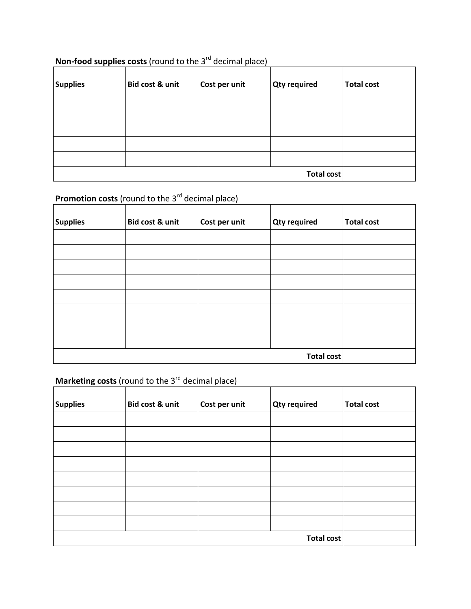## **Non-food supplies costs** (round to the 3<sup>rd</sup> decimal place)

| <b>Supplies</b> | Bid cost & unit | Cost per unit | <b>Qty required</b> | <b>Total cost</b> |
|-----------------|-----------------|---------------|---------------------|-------------------|
|                 |                 |               |                     |                   |
|                 |                 |               |                     |                   |
|                 |                 |               |                     |                   |
|                 |                 |               |                     |                   |
|                 |                 |               |                     |                   |
|                 | Total cost      |               |                     |                   |

## **Promotion costs** (round to the 3<sup>rd</sup> decimal place)

| <b>Supplies</b> | Bid cost & unit   | Cost per unit | <b>Qty required</b> | <b>Total cost</b> |
|-----------------|-------------------|---------------|---------------------|-------------------|
|                 |                   |               |                     |                   |
|                 |                   |               |                     |                   |
|                 |                   |               |                     |                   |
|                 |                   |               |                     |                   |
|                 |                   |               |                     |                   |
|                 |                   |               |                     |                   |
|                 |                   |               |                     |                   |
|                 |                   |               |                     |                   |
|                 | <b>Total cost</b> |               |                     |                   |

## **Marketing costs** (round to the 3<sup>rd</sup> decimal place)

| <b>Supplies</b> | Bid cost & unit   | Cost per unit | <b>Qty required</b> | <b>Total cost</b> |
|-----------------|-------------------|---------------|---------------------|-------------------|
|                 |                   |               |                     |                   |
|                 |                   |               |                     |                   |
|                 |                   |               |                     |                   |
|                 |                   |               |                     |                   |
|                 |                   |               |                     |                   |
|                 |                   |               |                     |                   |
|                 |                   |               |                     |                   |
|                 |                   |               |                     |                   |
|                 | <b>Total cost</b> |               |                     |                   |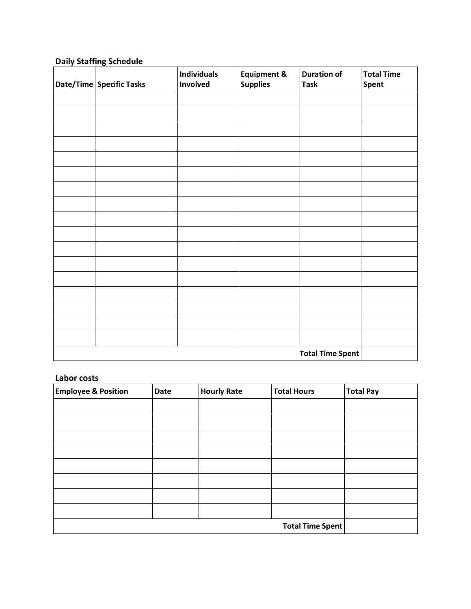### **Daily Staffing Schedule**

| Date/Time Specific Tasks | <b>Individuals</b><br>Involved | <b>Equipment &amp;</b><br><b>Supplies</b> | <b>Duration of</b><br><b>Task</b> | <b>Total Time</b><br><b>Spent</b> |
|--------------------------|--------------------------------|-------------------------------------------|-----------------------------------|-----------------------------------|
|                          |                                |                                           |                                   |                                   |
|                          |                                |                                           |                                   |                                   |
|                          |                                |                                           |                                   |                                   |
|                          |                                |                                           |                                   |                                   |
|                          |                                |                                           |                                   |                                   |
|                          |                                |                                           |                                   |                                   |
|                          |                                |                                           |                                   |                                   |
|                          |                                |                                           |                                   |                                   |
|                          |                                |                                           |                                   |                                   |
|                          |                                |                                           |                                   |                                   |
|                          |                                |                                           |                                   |                                   |
|                          |                                |                                           |                                   |                                   |
|                          |                                |                                           |                                   |                                   |
|                          |                                |                                           |                                   |                                   |
|                          |                                |                                           |                                   |                                   |
|                          |                                |                                           |                                   |                                   |
|                          |                                |                                           |                                   |                                   |
|                          |                                |                                           | <b>Total Time Spent</b>           |                                   |

#### **Labor costs**

| <b>Employee &amp; Position</b> | <b>Date</b>             | <b>Hourly Rate</b> | <b>Total Hours</b> | <b>Total Pay</b> |
|--------------------------------|-------------------------|--------------------|--------------------|------------------|
|                                |                         |                    |                    |                  |
|                                |                         |                    |                    |                  |
|                                |                         |                    |                    |                  |
|                                |                         |                    |                    |                  |
|                                |                         |                    |                    |                  |
|                                |                         |                    |                    |                  |
|                                |                         |                    |                    |                  |
|                                |                         |                    |                    |                  |
|                                | <b>Total Time Spent</b> |                    |                    |                  |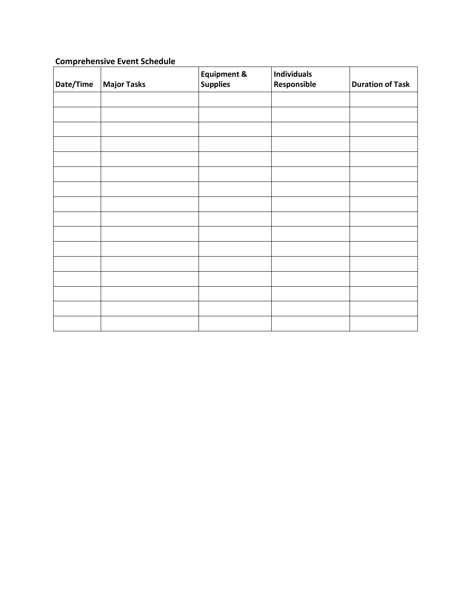#### **Comprehensive Event Schedule**

| Date/Time | <b>Major Tasks</b> | <b>Equipment &amp;</b><br><b>Supplies</b> | <b>Individuals</b><br>Responsible | <b>Duration of Task</b> |
|-----------|--------------------|-------------------------------------------|-----------------------------------|-------------------------|
|           |                    |                                           |                                   |                         |
|           |                    |                                           |                                   |                         |
|           |                    |                                           |                                   |                         |
|           |                    |                                           |                                   |                         |
|           |                    |                                           |                                   |                         |
|           |                    |                                           |                                   |                         |
|           |                    |                                           |                                   |                         |
|           |                    |                                           |                                   |                         |
|           |                    |                                           |                                   |                         |
|           |                    |                                           |                                   |                         |
|           |                    |                                           |                                   |                         |
|           |                    |                                           |                                   |                         |
|           |                    |                                           |                                   |                         |
|           |                    |                                           |                                   |                         |
|           |                    |                                           |                                   |                         |
|           |                    |                                           |                                   |                         |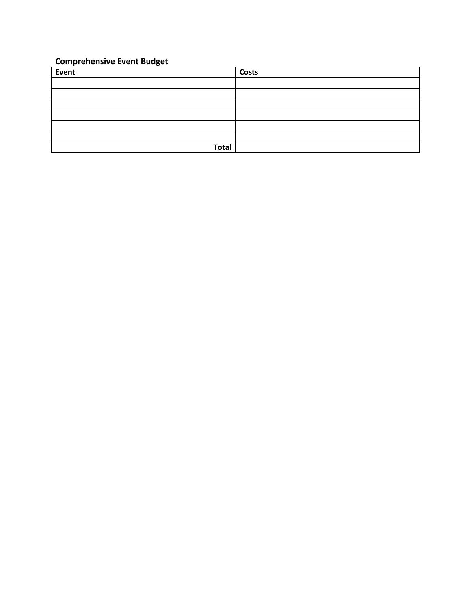### **Comprehensive Event Budget**

| Event        | <b>Costs</b> |
|--------------|--------------|
|              |              |
|              |              |
|              |              |
|              |              |
|              |              |
|              |              |
| <b>Total</b> |              |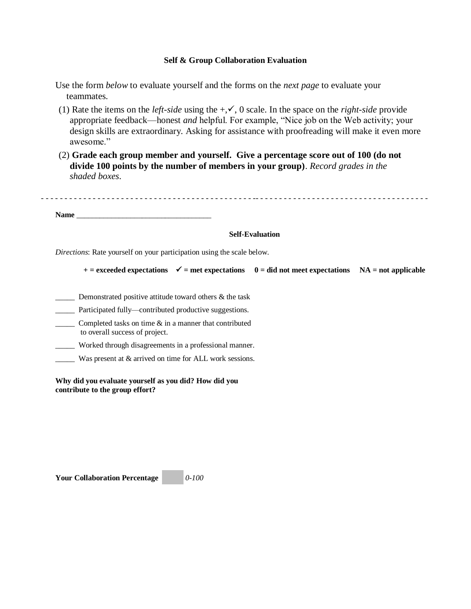#### **Self & Group Collaboration Evaluation**

- Use the form *below* to evaluate yourself and the forms on the *next page* to evaluate your teammates.
- (1) Rate the items on the *left-side* using the  $+\sqrt{}$ , 0 scale. In the space on the *right-side* provide appropriate feedback—honest *and* helpful. For example, "Nice job on the Web activity; your design skills are extraordinary. Asking for assistance with proofreading will make it even more awesome."
- (2) **Grade each group member and yourself. Give a percentage score out of 100 (do not divide 100 points by the number of members in your group)**. *Record grades in the shaded boxes*.

- - - - - - - - - - - - - - - - - - - - - - - - - - - - - - - - - - - - - - - - - - - - - -- - - - - - - - - - - - - - - - - - - - - - - - - - - - - - - - - - - - -

Name **Name** 

#### **Self-Evaluation**

*Directions*: Rate yourself on your participation using the scale below.

| $+$ = exceeded expectations $\checkmark$ = met expectations 0 = did not meet expectations NA = not applicable |  |  |  |  |
|---------------------------------------------------------------------------------------------------------------|--|--|--|--|
|---------------------------------------------------------------------------------------------------------------|--|--|--|--|

Demonstrated positive attitude toward others  $\&$  the task

Participated fully—contributed productive suggestions.

 $\frac{1}{2}$  Completed tasks on time  $\&$  in a manner that contributed to overall success of project.

\_\_\_\_\_ Worked through disagreements in a professional manner.

\_\_\_\_\_ Was present at & arrived on time for ALL work sessions.

**Why did you evaluate yourself as you did? How did you contribute to the group effort?**

**Your Collaboration Percentage** *0-100*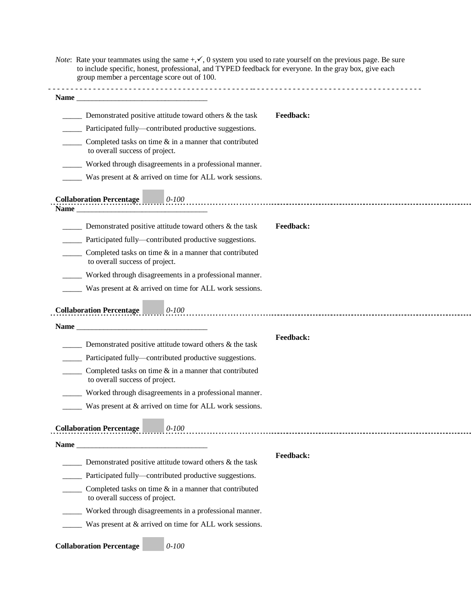| <i>Note</i> : Rate your teammates using the same $+\sqrt{}$ , 0 system you used to rate yourself on the previous page. Be sure |
|--------------------------------------------------------------------------------------------------------------------------------|
| to include specific, honest, professional, and TYPED feedback for everyone. In the gray box, give each                         |
| group member a percentage score out of 100.                                                                                    |

| Demonstrated positive attitude toward others & the task                                                                                           | <b>Feedback:</b> |
|---------------------------------------------------------------------------------------------------------------------------------------------------|------------------|
| Participated fully—contributed productive suggestions.                                                                                            |                  |
| Completed tasks on time $\&$ in a manner that contributed<br>to overall success of project.                                                       |                  |
| Worked through disagreements in a professional manner.                                                                                            |                  |
| Was present at & arrived on time for ALL work sessions.                                                                                           |                  |
|                                                                                                                                                   |                  |
| <b>Collaboration Percentage</b>                                                                                                                   |                  |
|                                                                                                                                                   |                  |
| Demonstrated positive attitude toward others & the task                                                                                           | Feedback:        |
| Participated fully—contributed productive suggestions.                                                                                            |                  |
| Completed tasks on time $\&$ in a manner that contributed<br>to overall success of project.                                                       |                  |
| Worked through disagreements in a professional manner.                                                                                            |                  |
| Was present at & arrived on time for ALL work sessions.                                                                                           |                  |
| <b>Collaboration Percentage</b><br>0-100 0-100 0-100 0-100 0-100 0-100 0-100 0-100 0-100 0-200 0-200 0-200 0-200 0-200 0-200 0-200 0-200 0-200 0- |                  |
|                                                                                                                                                   |                  |
| Demonstrated positive attitude toward others $\&$ the task                                                                                        | <b>Feedback:</b> |
| Participated fully—contributed productive suggestions.                                                                                            |                  |
| Completed tasks on time $\&$ in a manner that contributed<br>to overall success of project.                                                       |                  |
| Worked through disagreements in a professional manner.                                                                                            |                  |
| Was present at & arrived on time for ALL work sessions.                                                                                           |                  |
| <b>Collaboration Percentage</b><br>$\bigcup$ 0-100                                                                                                |                  |
|                                                                                                                                                   |                  |
| Demonstrated positive attitude toward others & the task                                                                                           | Feedback:        |
| Participated fully-contributed productive suggestions.                                                                                            |                  |
| Completed tasks on time $\&$ in a manner that contributed<br>to overall success of project.                                                       |                  |
| Worked through disagreements in a professional manner.                                                                                            |                  |
| Was present at & arrived on time for ALL work sessions.                                                                                           |                  |
|                                                                                                                                                   |                  |

**Collaboration Percentage** *0-100*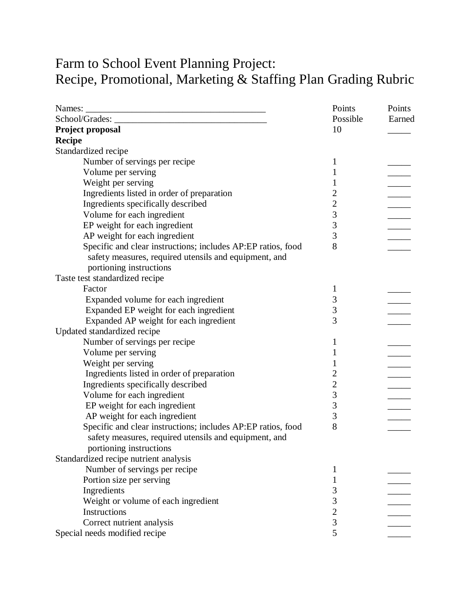# Farm to School Event Planning Project: Recipe, Promotional, Marketing & Staffing Plan Grading Rubric

|                                                              | Points         | Points |
|--------------------------------------------------------------|----------------|--------|
|                                                              | Possible       | Earned |
| Project proposal                                             | 10             |        |
| <b>Recipe</b>                                                |                |        |
| Standardized recipe                                          |                |        |
| Number of servings per recipe                                | 1              |        |
| Volume per serving                                           | 1              |        |
| Weight per serving                                           | 1              |        |
| Ingredients listed in order of preparation                   | $\overline{c}$ |        |
| Ingredients specifically described                           | $\overline{c}$ |        |
| Volume for each ingredient                                   |                |        |
| EP weight for each ingredient                                | $\frac{3}{3}$  |        |
| AP weight for each ingredient                                | $\overline{3}$ |        |
| Specific and clear instructions; includes AP:EP ratios, food | 8              |        |
| safety measures, required utensils and equipment, and        |                |        |
| portioning instructions                                      |                |        |
| Taste test standardized recipe                               |                |        |
| Factor                                                       | 1              |        |
| Expanded volume for each ingredient                          | 3              |        |
| Expanded EP weight for each ingredient                       | 3              |        |
| Expanded AP weight for each ingredient                       | 3              |        |
| Updated standardized recipe                                  |                |        |
| Number of servings per recipe                                | 1              |        |
| Volume per serving                                           | 1              |        |
| Weight per serving                                           | 1              |        |
| Ingredients listed in order of preparation                   | $\overline{c}$ |        |
| Ingredients specifically described                           | $\overline{c}$ |        |
| Volume for each ingredient                                   | 3              |        |
| EP weight for each ingredient                                | 3              |        |
| AP weight for each ingredient                                | 3              |        |
| Specific and clear instructions; includes AP:EP ratios, food | 8              |        |
| safety measures, required utensils and equipment, and        |                |        |
| portioning instructions                                      |                |        |
| Standardized recipe nutrient analysis                        |                |        |
| Number of servings per recipe                                | 1              |        |
| Portion size per serving                                     | 1              |        |
| Ingredients                                                  | 3              |        |
| Weight or volume of each ingredient                          | 3              |        |
| <b>Instructions</b>                                          | $\overline{c}$ |        |
| Correct nutrient analysis                                    | $\overline{3}$ |        |
| Special needs modified recipe                                | 5              |        |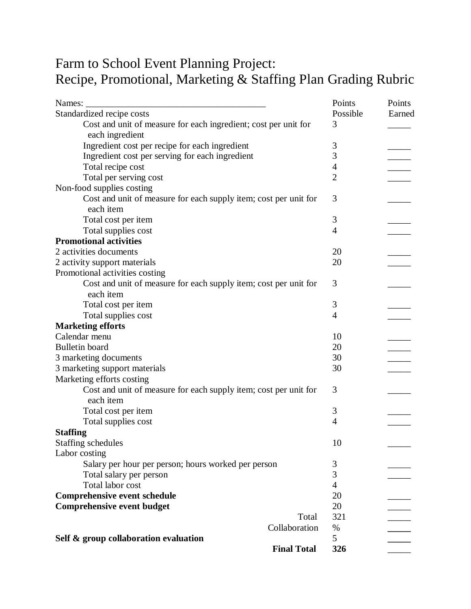# Farm to School Event Planning Project: Recipe, Promotional, Marketing & Staffing Plan Grading Rubric

| Names:                                                           | Points         | Points |
|------------------------------------------------------------------|----------------|--------|
| Standardized recipe costs                                        | Possible       | Earned |
| Cost and unit of measure for each ingredient; cost per unit for  | 3              |        |
| each ingredient                                                  |                |        |
| Ingredient cost per recipe for each ingredient                   | 3              |        |
| Ingredient cost per serving for each ingredient                  | 3              |        |
| Total recipe cost                                                | $\overline{4}$ |        |
| Total per serving cost                                           | $\overline{2}$ |        |
| Non-food supplies costing                                        |                |        |
| Cost and unit of measure for each supply item; cost per unit for | 3              |        |
| each item                                                        |                |        |
| Total cost per item                                              | 3              |        |
| Total supplies cost                                              | $\overline{4}$ |        |
| <b>Promotional activities</b>                                    |                |        |
| 2 activities documents                                           | 20             |        |
| 2 activity support materials                                     | 20             |        |
| Promotional activities costing                                   |                |        |
| Cost and unit of measure for each supply item; cost per unit for | 3              |        |
| each item                                                        |                |        |
| Total cost per item                                              | 3              |        |
| Total supplies cost                                              | $\overline{4}$ |        |
| <b>Marketing efforts</b>                                         |                |        |
| Calendar menu                                                    | 10             |        |
| <b>Bulletin</b> board                                            | 20             |        |
| 3 marketing documents                                            | 30             |        |
| 3 marketing support materials                                    | 30             |        |
| Marketing efforts costing                                        |                |        |
| Cost and unit of measure for each supply item; cost per unit for | 3              |        |
| each item                                                        |                |        |
| Total cost per item                                              | 3              |        |
| Total supplies cost                                              | 4              |        |
| <b>Staffing</b>                                                  |                |        |
| <b>Staffing schedules</b>                                        | 10             |        |
| Labor costing                                                    |                |        |
| Salary per hour per person; hours worked per person              | 3              |        |
| Total salary per person                                          | 3              |        |
| Total labor cost                                                 | $\overline{4}$ |        |
| <b>Comprehensive event schedule</b>                              | 20             |        |
| <b>Comprehensive event budget</b>                                | 20             |        |
| Total                                                            | 321            |        |
| Collaboration                                                    | $\%$           |        |
| Self & group collaboration evaluation                            | 5              |        |
| <b>Final Total</b>                                               | 326            |        |